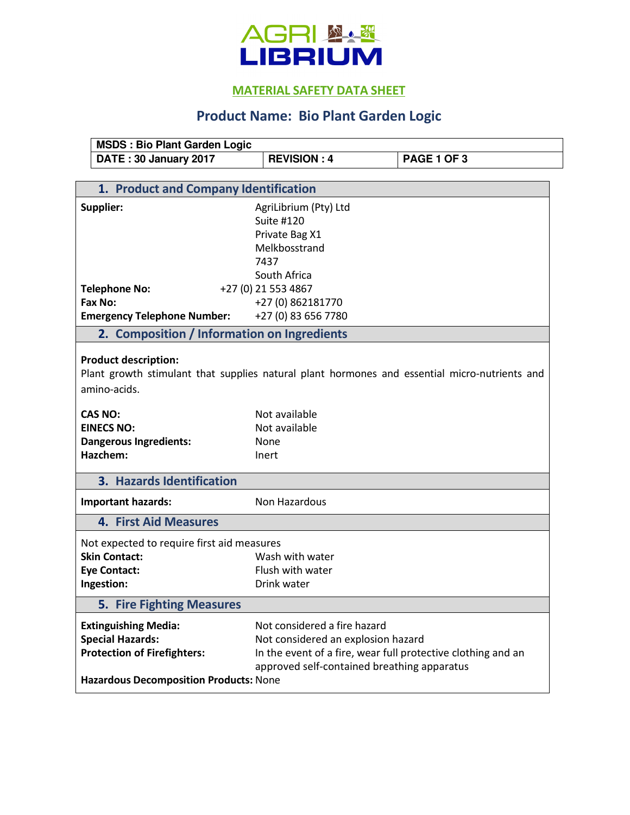

## **MATERIAL SAFETY DATA SHEET**

## **Product Name: Bio Plant Garden Logic**

| <b>MSDS: Bio Plant Garden Logic</b>                                                                                                          |                                                                                                |             |  |  |
|----------------------------------------------------------------------------------------------------------------------------------------------|------------------------------------------------------------------------------------------------|-------------|--|--|
| DATE: 30 January 2017                                                                                                                        | <b>REVISION: 4</b>                                                                             | PAGE 1 OF 3 |  |  |
|                                                                                                                                              |                                                                                                |             |  |  |
| 1. Product and Company Identification                                                                                                        |                                                                                                |             |  |  |
| Supplier:                                                                                                                                    | AgriLibrium (Pty) Ltd<br>Suite #120<br>Private Bag X1<br>Melkbosstrand<br>7437<br>South Africa |             |  |  |
| <b>Telephone No:</b>                                                                                                                         | +27 (0) 21 553 4867                                                                            |             |  |  |
| Fax No:                                                                                                                                      | +27 (0) 862181770                                                                              |             |  |  |
| <b>Emergency Telephone Number:</b>                                                                                                           | +27 (0) 83 656 7780                                                                            |             |  |  |
| 2. Composition / Information on Ingredients                                                                                                  |                                                                                                |             |  |  |
| <b>Product description:</b><br>Plant growth stimulant that supplies natural plant hormones and essential micro-nutrients and<br>amino-acids. |                                                                                                |             |  |  |
| <b>CAS NO:</b>                                                                                                                               | Not available                                                                                  |             |  |  |
| <b>EINECS NO:</b>                                                                                                                            | Not available                                                                                  |             |  |  |
| <b>Dangerous Ingredients:</b>                                                                                                                | None                                                                                           |             |  |  |
| Hazchem:                                                                                                                                     | Inert                                                                                          |             |  |  |
| 3. Hazards Identification                                                                                                                    |                                                                                                |             |  |  |
| <b>Important hazards:</b>                                                                                                                    | Non Hazardous                                                                                  |             |  |  |
| <b>4. First Aid Measures</b>                                                                                                                 |                                                                                                |             |  |  |
| Not expected to require first aid measures                                                                                                   |                                                                                                |             |  |  |
| <b>Skin Contact:</b>                                                                                                                         | Wash with water                                                                                |             |  |  |
| <b>Eye Contact:</b>                                                                                                                          | Flush with water                                                                               |             |  |  |
| Ingestion:                                                                                                                                   | Drink water                                                                                    |             |  |  |
| <b>5. Fire Fighting Measures</b>                                                                                                             |                                                                                                |             |  |  |
| <b>Extinguishing Media:</b>                                                                                                                  | Not considered a fire hazard                                                                   |             |  |  |
| <b>Special Hazards:</b>                                                                                                                      | Not considered an explosion hazard                                                             |             |  |  |
| <b>Protection of Firefighters:</b>                                                                                                           | In the event of a fire, wear full protective clothing and an                                   |             |  |  |
|                                                                                                                                              | approved self-contained breathing apparatus                                                    |             |  |  |
| Hazardous Decomposition Products: None                                                                                                       |                                                                                                |             |  |  |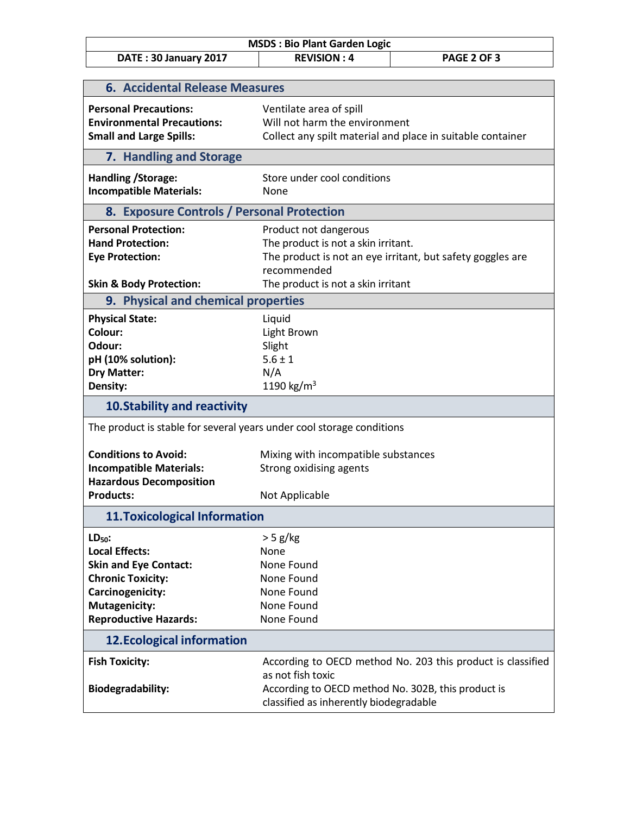| <b>MSDS: Bio Plant Garden Logic</b>                                   |                                                    |                                                             |  |  |
|-----------------------------------------------------------------------|----------------------------------------------------|-------------------------------------------------------------|--|--|
| DATE: 30 January 2017                                                 | <b>REVISION: 4</b>                                 | PAGE 2 OF 3                                                 |  |  |
|                                                                       |                                                    |                                                             |  |  |
| <b>6. Accidental Release Measures</b>                                 |                                                    |                                                             |  |  |
| <b>Personal Precautions:</b>                                          | Ventilate area of spill                            |                                                             |  |  |
| <b>Environmental Precautions:</b>                                     | Will not harm the environment                      |                                                             |  |  |
| <b>Small and Large Spills:</b>                                        |                                                    | Collect any spilt material and place in suitable container  |  |  |
| 7. Handling and Storage                                               |                                                    |                                                             |  |  |
| Handling / Storage:                                                   | Store under cool conditions                        |                                                             |  |  |
| <b>Incompatible Materials:</b>                                        | None                                               |                                                             |  |  |
| 8. Exposure Controls / Personal Protection                            |                                                    |                                                             |  |  |
| <b>Personal Protection:</b>                                           | Product not dangerous                              |                                                             |  |  |
| <b>Hand Protection:</b>                                               | The product is not a skin irritant.                |                                                             |  |  |
| <b>Eye Protection:</b>                                                |                                                    | The product is not an eye irritant, but safety goggles are  |  |  |
|                                                                       | recommended                                        |                                                             |  |  |
| <b>Skin &amp; Body Protection:</b>                                    | The product is not a skin irritant                 |                                                             |  |  |
| 9. Physical and chemical properties                                   |                                                    |                                                             |  |  |
| <b>Physical State:</b>                                                | Liquid                                             |                                                             |  |  |
| Colour:                                                               | Light Brown                                        |                                                             |  |  |
| Odour:                                                                | Slight                                             |                                                             |  |  |
| pH (10% solution):                                                    | $5.6 \pm 1$                                        |                                                             |  |  |
| <b>Dry Matter:</b>                                                    | N/A                                                |                                                             |  |  |
| Density:                                                              | 1190 kg/m <sup>3</sup>                             |                                                             |  |  |
| <b>10. Stability and reactivity</b>                                   |                                                    |                                                             |  |  |
| The product is stable for several years under cool storage conditions |                                                    |                                                             |  |  |
| <b>Conditions to Avoid:</b>                                           | Mixing with incompatible substances                |                                                             |  |  |
| <b>Incompatible Materials:</b>                                        | Strong oxidising agents                            |                                                             |  |  |
| <b>Hazardous Decomposition</b>                                        |                                                    |                                                             |  |  |
| <b>Products:</b>                                                      | Not Applicable                                     |                                                             |  |  |
| <b>11. Toxicological Information</b>                                  |                                                    |                                                             |  |  |
| $LD50$ :                                                              | $>$ 5 g/kg                                         |                                                             |  |  |
| <b>Local Effects:</b>                                                 | None                                               |                                                             |  |  |
| <b>Skin and Eye Contact:</b>                                          | None Found                                         |                                                             |  |  |
| <b>Chronic Toxicity:</b>                                              | None Found                                         |                                                             |  |  |
| Carcinogenicity:                                                      | None Found                                         |                                                             |  |  |
| <b>Mutagenicity:</b>                                                  | None Found                                         |                                                             |  |  |
| <b>Reproductive Hazards:</b>                                          | None Found                                         |                                                             |  |  |
| <b>12. Ecological information</b>                                     |                                                    |                                                             |  |  |
| <b>Fish Toxicity:</b>                                                 |                                                    | According to OECD method No. 203 this product is classified |  |  |
|                                                                       | as not fish toxic                                  |                                                             |  |  |
| <b>Biodegradability:</b>                                              | According to OECD method No. 302B, this product is |                                                             |  |  |
|                                                                       | classified as inherently biodegradable             |                                                             |  |  |